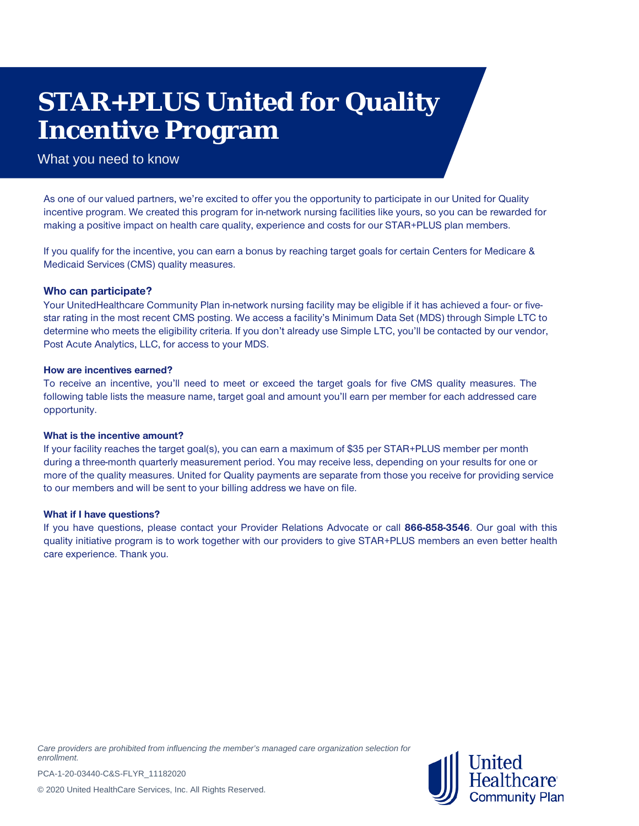# **STAR+PLUS United for Quality Incentive Program**

### What you need to know

As one of our valued partners, we're excited to offer you the opportunity to participate in our United for Quality incentive program. We created this program for in-network nursing facilities like yours, so you can be rewarded for making a positive impact on health care quality, experience and costs for our STAR+PLUS plan members.

If you qualify for the incentive, you can earn a bonus by reaching target goals for certain Centers for Medicare & Medicaid Services (CMS) quality measures.

#### **Who can participate?**

Your UnitedHealthcare Community Plan in-network nursing facility may be eligible if it has achieved a four- or fivestar rating in the most recent CMS posting. We access a facility's Minimum Data Set (MDS) through Simple LTC to determine who meets the eligibility criteria. If you don't already use Simple LTC, you'll be contacted by our vendor, Post Acute Analytics, LLC, for access to your MDS.

#### **How are incentives earned?**

To receive an incentive, you'll need to meet or exceed the target goals for five CMS quality measures. The following table lists the measure name, target goal and amount you'll earn per member for each addressed care opportunity.

#### **What is the incentive amount?**

If your facility reaches the target goal(s), you can earn a maximum of \$35 per STAR+PLUS member per month during a three-month quarterly measurement period. You may receive less, depending on your results for one or more of the quality measures. United for Quality payments are separate from those you receive for providing service to our members and will be sent to your billing address we have on file.

#### **What if I have questions?**

If you have questions, please contact your Provider Relations Advocate or call **866-858-3546**. Our goal with this quality initiative program is to work together with our providers to give STAR+PLUS members an even better health care experience. Thank you.

*Care providers are prohibited from influencing the member's managed care organization selection for enrollment.*



PCA-1-20-03440-C&S-FLYR\_11182020

© 2020 United HealthCare Services, Inc. All Rights Reserved.